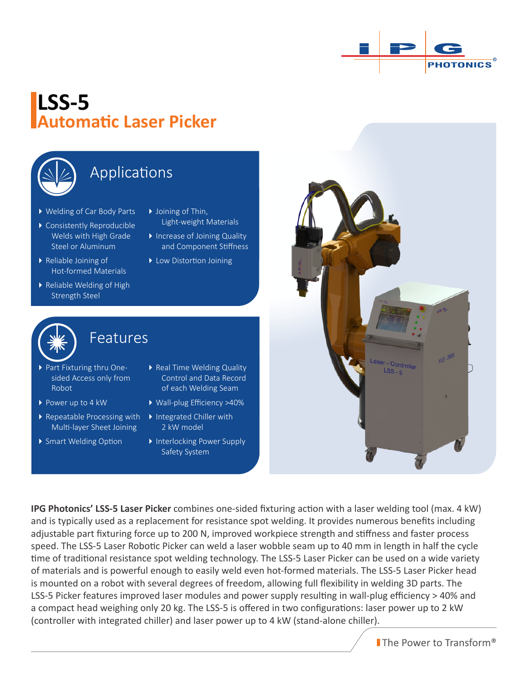

# **LSS-5 Automatic Laser Picker**



### Applications

- Welding of Car Body Parts
- Consistently Reproducible Welds with High Grade Steel or Aluminum
- ▶ Reliable Joining of Hot-formed Materials
- Reliable Welding of High Strength Steel
- ▶ Joining of Thin, Light-weight Materials
- Increase of Joining Quality and Component Stiffness
- ▶ Low Distortion Joining



### **Features**

Features

- Part Fixturing thru Onesided Access only from Robot
- ▶ Power up to 4 kW
- Repeatable Processing with Multi-layer Sheet Joining
- ▶ Smart Welding Option
- ▶ Real Time Welding Quality Control and Data Record of each Welding Seam
- Wall-plug Efficiency >40%
- ▶ Integrated Chiller with 2 kW model
- ▶ Interlocking Power Supply Safety System

 $v_1S - 2000$ er - Controller  $\text{LSS - 5}$ 

**IPG Photonics' LSS-5 Laser Picker** combines one-sided fixturing action with a laser welding tool (max. 4 kW) and is typically used as a replacement for resistance spot welding. It provides numerous benefits including adjustable part fixturing force up to 200 N, improved workpiece strength and stiffness and faster process speed. The LSS-5 Laser Robotic Picker can weld a laser wobble seam up to 40 mm in length in half the cycle time of traditional resistance spot welding technology. The LSS-5 Laser Picker can be used on a wide variety of materials and is powerful enough to easily weld even hot-formed materials. The LSS-5 Laser Picker head is mounted on a robot with several degrees of freedom, allowing full flexibility in welding 3D parts. The LSS-5 Picker features improved laser modules and power supply resulting in wall-plug efficiency > 40% and a compact head weighing only 20 kg. The LSS-5 is offered in two configurations: laser power up to 2 kW (controller with integrated chiller) and laser power up to 4 kW (stand-alone chiller).